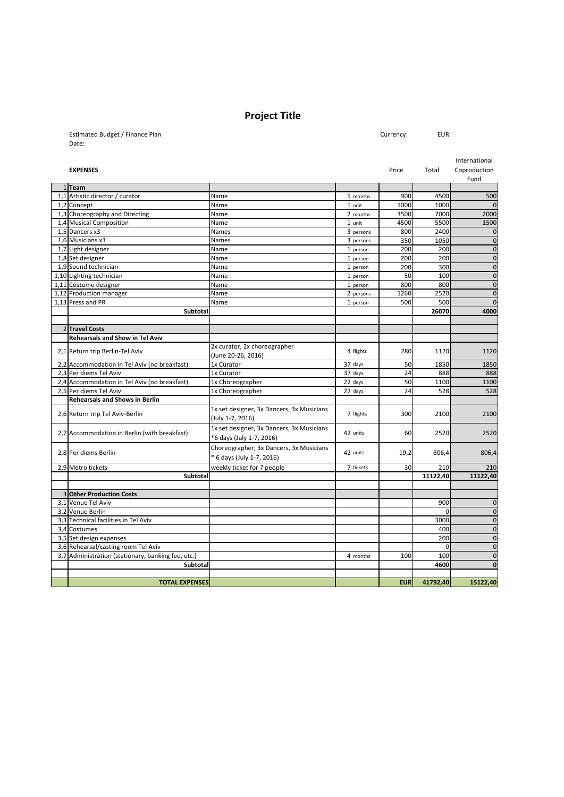## **Project Title**

Estimated Budget / Finance Plan Currency: EUR Date:

| Currency: |  |
|-----------|--|
|-----------|--|

|  |                                                    |                                           |           |            |          | International |
|--|----------------------------------------------------|-------------------------------------------|-----------|------------|----------|---------------|
|  | <b>EXPENSES</b>                                    |                                           |           | Price      | Total    | Coproduction  |
|  |                                                    |                                           |           |            |          | Fund          |
|  | 1 Team                                             |                                           |           |            |          |               |
|  | 1,1 Artistic director / curator                    | Name                                      | 5 months  | 900        | 4500     | 500           |
|  | 1,2 Concept                                        | Name                                      | 1 unit    | 1000       | 1000     | $\bf 0$       |
|  | 1,3 Choreography and Directing                     | Name                                      | 2 months  | 3500       | 7000     | 2000          |
|  | 1,4 Musical Composition                            | Name                                      | 1 unit    | 4500       | 5500     | 1500          |
|  | 1,5 Dancers x3                                     | Names                                     | 3 persons | 800        | 2400     | $\bf 0$       |
|  | 1,6 Musicians x3                                   | <b>Names</b>                              | 3 persons | 350        | 1050     | $\pmb{0}$     |
|  | 1,7 Light designer                                 | Name                                      | 1 person  | 200        | 200      | $\pmb{0}$     |
|  | 1,8 Set designer                                   | Name                                      | 1 person  | 200        | 200      | $\pmb{0}$     |
|  | 1,9 Sound technician                               | Name                                      | 1 person  | 200        | 300      | $\pmb{0}$     |
|  | 1,10 Lighting technician                           | Name                                      | 1 person  | 50         | 100      | $\pmb{0}$     |
|  | 1,11 Costume designer                              | Name                                      | 1 person  | 800        | 800      | $\pmb{0}$     |
|  | 1,12 Production manager                            | Name                                      | 2 persons | 1260       | 2520     | $\mathbf 0$   |
|  | 1,13 Press and PR                                  | Name                                      | 1 person  | 500        | 500      | $\mathbf{0}$  |
|  | Subtotal                                           |                                           |           |            | 26070    | 4000          |
|  |                                                    |                                           |           |            |          |               |
|  | 2 Travel Costs                                     |                                           |           |            |          |               |
|  | <b>Rehearsals and Show in Tel Aviv</b>             |                                           |           |            |          |               |
|  |                                                    | 2x curator, 2x choreographer              |           |            |          |               |
|  | 2,1 Return trip Berlin-Tel Aviv                    | (June 20-26, 2016)                        | 4 flights | 280        | 1120     | 1120          |
|  | 2,2 Accommodation in Tel Aviv (no breakfast)       | 1x Curator                                | 37 days   | 50         | 1850     | 1850          |
|  | 2,3 Per diems Tel Aviv                             | 1x Curator                                | 37 days   | 24         | 888      | 888           |
|  | 2,4 Accommodation in Tel Aviv (no breakfast)       | 1x Choreographer                          | 22 days   | 50         | 1100     | 1100          |
|  | 2,5 Per diems Tel Aviv                             | 1x Choreographer                          | 22 days   | 24         | 528      | 528           |
|  | <b>Rehearsals and Shows in Berlin</b>              |                                           |           |            |          |               |
|  | 2,6 Return trip Tel Aviv-Berlin                    | 1x set designer, 3x Dancers, 3x Musicians |           |            |          | 2100          |
|  |                                                    | (July 1-7, 2016)                          | 7 flights | 300        | 2100     |               |
|  |                                                    | 1x set designer, 3x Dancers, 3x Musicians |           |            |          | 2520          |
|  | 2,7 Accommodation in Berlin (with breakfast)       | *6 days (July 1-7, 2016)                  | 42 units  | 60         | 2520     |               |
|  |                                                    |                                           |           |            |          |               |
|  | 2,8 Per diems Berlin                               | Choreographer, 3x Dancers, 3x Musicians   | 42 units  | 19,2       | 806,4    | 806,4         |
|  |                                                    | * 6 days (July 1-7, 2016)                 |           |            |          |               |
|  | 2,9 Metro tickets                                  | weekly ticket for 7 people                | 7 tickets | 30         | 210      | 210           |
|  | Subtotal                                           |                                           |           |            | 11122,40 | 11122,40      |
|  |                                                    |                                           |           |            |          |               |
|  | <b>3 Other Production Costs</b>                    |                                           |           |            |          |               |
|  | 3,1 Venue Tel Aviv                                 |                                           |           |            | 900      | $\mathbf 0$   |
|  | 3,2 Venue Berlin                                   |                                           |           |            | $\Omega$ | $\pmb{0}$     |
|  | 3,3 Technical facilities in Tel Aviv               |                                           |           |            | 3000     | $\pmb{0}$     |
|  | 3,4 Costumes                                       |                                           |           |            | 400      | $\pmb{0}$     |
|  | 3,5 Set design expenses                            |                                           |           |            | 200      | $\pmb{0}$     |
|  | 3,6 Rehearsal/casting room Tel Aviv                |                                           |           |            | $\Omega$ | $\mathbf 0$   |
|  | 3,7 Administration (stationary, banking fee, etc.) |                                           | 4 months  | 100        | 100      | $\pmb{0}$     |
|  | Subtotal                                           |                                           |           |            | 4600     | $\bf{0}$      |
|  |                                                    |                                           |           |            |          |               |
|  | <b>TOTAL EXPENSES</b>                              |                                           |           | <b>EUR</b> | 41792,40 | 15122,40      |